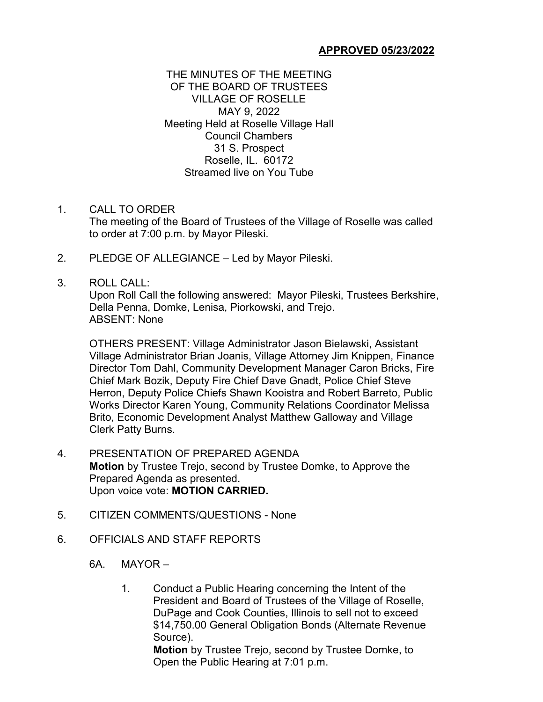### **APPROVED 05/23/2022**

### THE MINUTES OF THE MEETING OF THE BOARD OF TRUSTEES VILLAGE OF ROSELLE MAY 9, 2022 Meeting Held at Roselle Village Hall Council Chambers 31 S. Prospect Roselle, IL. 60172 Streamed live on You Tube

#### 1. CALL TO ORDER

The meeting of the Board of Trustees of the Village of Roselle was called to order at 7:00 p.m. by Mayor Pileski.

2. PLEDGE OF ALLEGIANCE – Led by Mayor Pileski.

### 3. ROLL CALL:

Upon Roll Call the following answered: Mayor Pileski, Trustees Berkshire, Della Penna, Domke, Lenisa, Piorkowski, and Trejo. ABSENT: None

OTHERS PRESENT: Village Administrator Jason Bielawski, Assistant Village Administrator Brian Joanis, Village Attorney Jim Knippen, Finance Director Tom Dahl, Community Development Manager Caron Bricks, Fire Chief Mark Bozik, Deputy Fire Chief Dave Gnadt, Police Chief Steve Herron, Deputy Police Chiefs Shawn Kooistra and Robert Barreto, Public Works Director Karen Young, Community Relations Coordinator Melissa Brito, Economic Development Analyst Matthew Galloway and Village Clerk Patty Burns.

- 4. PRESENTATION OF PREPARED AGENDA **Motion** by Trustee Trejo, second by Trustee Domke, to Approve the Prepared Agenda as presented. Upon voice vote: **MOTION CARRIED.**
- 5. CITIZEN COMMENTS/QUESTIONS None
- 6. OFFICIALS AND STAFF REPORTS
	- 6A. MAYOR
		- 1. Conduct a Public Hearing concerning the Intent of the President and Board of Trustees of the Village of Roselle, DuPage and Cook Counties, Illinois to sell not to exceed \$14,750.00 General Obligation Bonds (Alternate Revenue Source). **Motion** by Trustee Trejo, second by Trustee Domke, to

Open the Public Hearing at 7:01 p.m.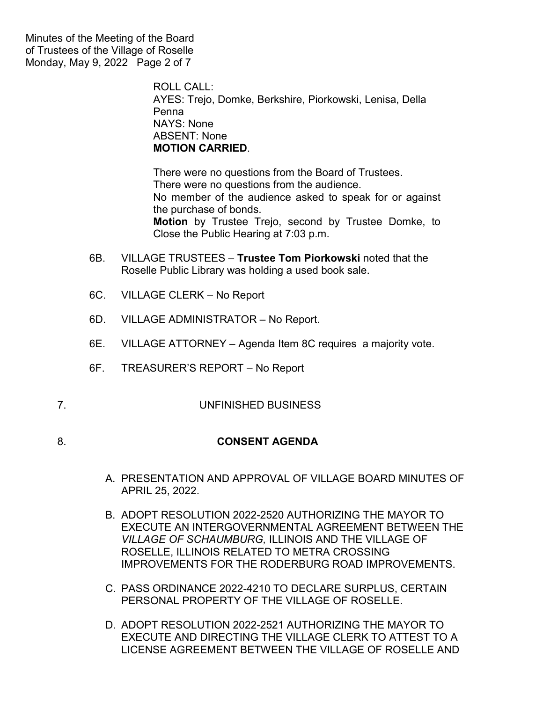Minutes of the Meeting of the Board of Trustees of the Village of Roselle Monday, May 9, 2022 Page 2 of 7

> ROLL CALL: AYES: Trejo, Domke, Berkshire, Piorkowski, Lenisa, Della Penna NAYS: None ABSENT: None **MOTION CARRIED**.

There were no questions from the Board of Trustees. There were no questions from the audience. No member of the audience asked to speak for or against the purchase of bonds. **Motion** by Trustee Trejo, second by Trustee Domke, to Close the Public Hearing at 7:03 p.m.

- 6B. VILLAGE TRUSTEES **Trustee Tom Piorkowski** noted that the Roselle Public Library was holding a used book sale.
- 6C. VILLAGE CLERK No Report
- 6D. VILLAGE ADMINISTRATOR No Report.
- 6E. VILLAGE ATTORNEY Agenda Item 8C requires a majority vote.
- 6F. TREASURER'S REPORT No Report
- 7. UNFINISHED BUSINESS
- 8. **CONSENT AGENDA**
	- A. PRESENTATION AND APPROVAL OF VILLAGE BOARD MINUTES OF APRIL 25, 2022.
	- B. ADOPT RESOLUTION 2022-2520 AUTHORIZING THE MAYOR TO EXECUTE AN INTERGOVERNMENTAL AGREEMENT BETWEEN THE *VILLAGE OF SCHAUMBURG,* ILLINOIS AND THE VILLAGE OF ROSELLE, ILLINOIS RELATED TO METRA CROSSING IMPROVEMENTS FOR THE RODERBURG ROAD IMPROVEMENTS.
	- C. PASS ORDINANCE 2022-4210 TO DECLARE SURPLUS, CERTAIN PERSONAL PROPERTY OF THE VILLAGE OF ROSELLE.
	- D. ADOPT RESOLUTION 2022-2521 AUTHORIZING THE MAYOR TO EXECUTE AND DIRECTING THE VILLAGE CLERK TO ATTEST TO A LICENSE AGREEMENT BETWEEN THE VILLAGE OF ROSELLE AND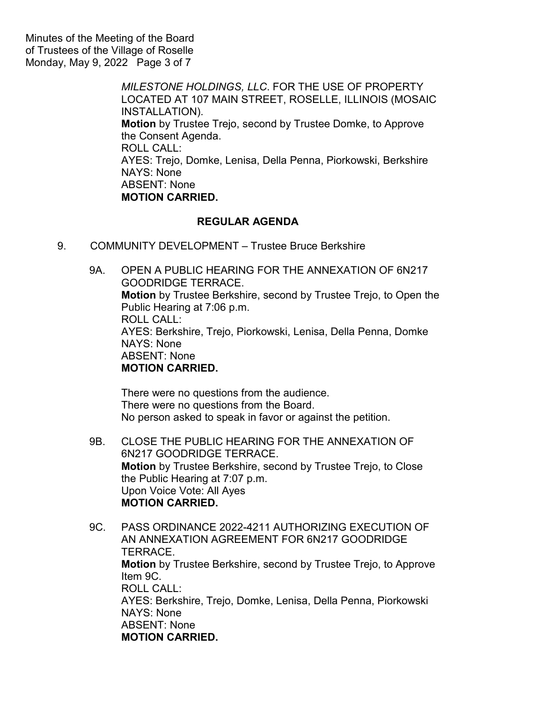Minutes of the Meeting of the Board of Trustees of the Village of Roselle Monday, May 9, 2022 Page 3 of 7

> *MILESTONE HOLDINGS, LLC*. FOR THE USE OF PROPERTY LOCATED AT 107 MAIN STREET, ROSELLE, ILLINOIS (MOSAIC INSTALLATION). **Motion** by Trustee Trejo, second by Trustee Domke, to Approve the Consent Agenda. ROLL CALL: AYES: Trejo, Domke, Lenisa, Della Penna, Piorkowski, Berkshire NAYS: None ABSENT: None **MOTION CARRIED.**

# **REGULAR AGENDA**

9. COMMUNITY DEVELOPMENT – Trustee Bruce Berkshire

9A. OPEN A PUBLIC HEARING FOR THE ANNEXATION OF 6N217 GOODRIDGE TERRACE. **Motion** by Trustee Berkshire, second by Trustee Trejo, to Open the Public Hearing at 7:06 p.m. ROLL CALL: AYES: Berkshire, Trejo, Piorkowski, Lenisa, Della Penna, Domke NAYS: None ABSENT: None **MOTION CARRIED.**

There were no questions from the audience. There were no questions from the Board. No person asked to speak in favor or against the petition.

- 9B. CLOSE THE PUBLIC HEARING FOR THE ANNEXATION OF 6N217 GOODRIDGE TERRACE. **Motion** by Trustee Berkshire, second by Trustee Trejo, to Close the Public Hearing at 7:07 p.m. Upon Voice Vote: All Ayes **MOTION CARRIED.**
- 9C. PASS ORDINANCE 2022-4211 AUTHORIZING EXECUTION OF AN ANNEXATION AGREEMENT FOR 6N217 GOODRIDGE TERRACE. **Motion** by Trustee Berkshire, second by Trustee Trejo, to Approve Item 9C. ROLL CALL: AYES: Berkshire, Trejo, Domke, Lenisa, Della Penna, Piorkowski NAYS: None ABSENT: None **MOTION CARRIED.**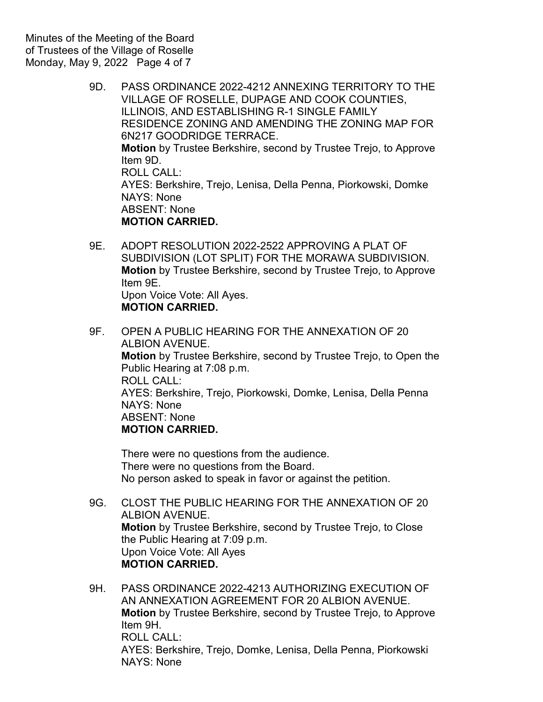- 9D. PASS ORDINANCE 2022-4212 ANNEXING TERRITORY TO THE VILLAGE OF ROSELLE, DUPAGE AND COOK COUNTIES, ILLINOIS, AND ESTABLISHING R-1 SINGLE FAMILY RESIDENCE ZONING AND AMENDING THE ZONING MAP FOR 6N217 GOODRIDGE TERRACE. **Motion** by Trustee Berkshire, second by Trustee Trejo, to Approve Item 9D. ROLL CALL: AYES: Berkshire, Trejo, Lenisa, Della Penna, Piorkowski, Domke NAYS: None ABSENT: None **MOTION CARRIED.**
- 9E. ADOPT RESOLUTION 2022-2522 APPROVING A PLAT OF SUBDIVISION (LOT SPLIT) FOR THE MORAWA SUBDIVISION. **Motion** by Trustee Berkshire, second by Trustee Trejo, to Approve Item 9E. Upon Voice Vote: All Ayes. **MOTION CARRIED.**
- 9F. OPEN A PUBLIC HEARING FOR THE ANNEXATION OF 20 ALBION AVENUE. **Motion** by Trustee Berkshire, second by Trustee Trejo, to Open the Public Hearing at 7:08 p.m. ROLL CALL: AYES: Berkshire, Trejo, Piorkowski, Domke, Lenisa, Della Penna NAYS: None ABSENT: None **MOTION CARRIED.**

There were no questions from the audience. There were no questions from the Board. No person asked to speak in favor or against the petition.

- 9G. CLOST THE PUBLIC HEARING FOR THE ANNEXATION OF 20 ALBION AVENUE. **Motion** by Trustee Berkshire, second by Trustee Trejo, to Close the Public Hearing at 7:09 p.m. Upon Voice Vote: All Ayes **MOTION CARRIED.**
- 9H. PASS ORDINANCE 2022-4213 AUTHORIZING EXECUTION OF AN ANNEXATION AGREEMENT FOR 20 ALBION AVENUE. **Motion** by Trustee Berkshire, second by Trustee Trejo, to Approve Item 9H. ROLL CALL: AYES: Berkshire, Trejo, Domke, Lenisa, Della Penna, Piorkowski NAYS: None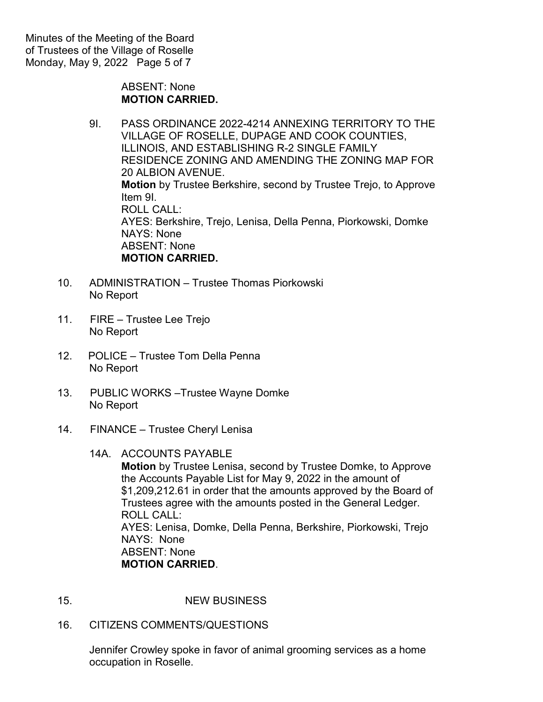Minutes of the Meeting of the Board of Trustees of the Village of Roselle Monday, May 9, 2022 Page 5 of 7

> ABSENT: None **MOTION CARRIED.**

- 9I. PASS ORDINANCE 2022-4214 ANNEXING TERRITORY TO THE VILLAGE OF ROSELLE, DUPAGE AND COOK COUNTIES, ILLINOIS, AND ESTABLISHING R-2 SINGLE FAMILY RESIDENCE ZONING AND AMENDING THE ZONING MAP FOR 20 ALBION AVENUE. **Motion** by Trustee Berkshire, second by Trustee Trejo, to Approve Item 9I. ROLL CALL: AYES: Berkshire, Trejo, Lenisa, Della Penna, Piorkowski, Domke NAYS: None ABSENT: None **MOTION CARRIED.**
- 10. ADMINISTRATION Trustee Thomas Piorkowski No Report
- 11. FIRE Trustee Lee Trejo No Report
- 12. POLICE Trustee Tom Della Penna No Report
- 13. PUBLIC WORKS –Trustee Wayne Domke No Report
- 14. FINANCE Trustee Cheryl Lenisa
	- 14A. ACCOUNTS PAYABLE

**Motion** by Trustee Lenisa, second by Trustee Domke, to Approve the Accounts Payable List for May 9, 2022 in the amount of \$1,209,212.61 in order that the amounts approved by the Board of Trustees agree with the amounts posted in the General Ledger. ROLL CALL: AYES: Lenisa, Domke, Della Penna, Berkshire, Piorkowski, Trejo NAYS: None ABSENT: None **MOTION CARRIED**.

- 15. NEW BUSINESS
- 16. CITIZENS COMMENTS/QUESTIONS

Jennifer Crowley spoke in favor of animal grooming services as a home occupation in Roselle.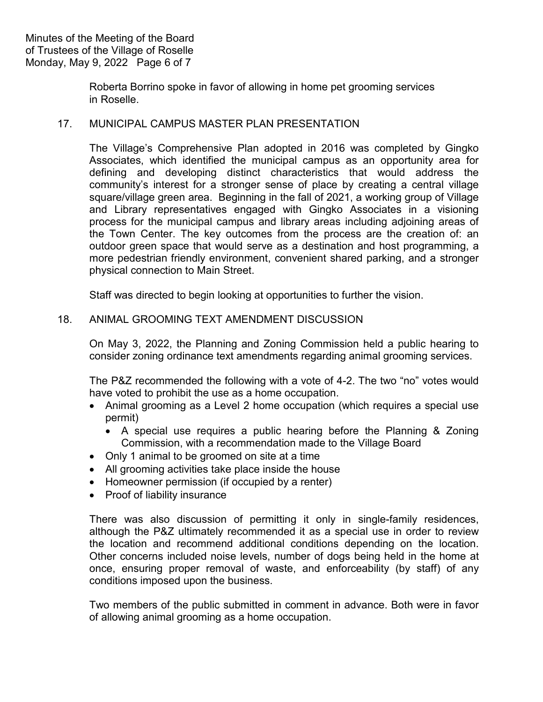Roberta Borrino spoke in favor of allowing in home pet grooming services in Roselle.

## 17. MUNICIPAL CAMPUS MASTER PLAN PRESENTATION

The Village's Comprehensive Plan adopted in 2016 was completed by Gingko Associates, which identified the municipal campus as an opportunity area for defining and developing distinct characteristics that would address the community's interest for a stronger sense of place by creating a central village square/village green area. Beginning in the fall of 2021, a working group of Village and Library representatives engaged with Gingko Associates in a visioning process for the municipal campus and library areas including adjoining areas of the Town Center. The key outcomes from the process are the creation of: an outdoor green space that would serve as a destination and host programming, a more pedestrian friendly environment, convenient shared parking, and a stronger physical connection to Main Street.

Staff was directed to begin looking at opportunities to further the vision.

### 18. ANIMAL GROOMING TEXT AMENDMENT DISCUSSION

On May 3, 2022, the Planning and Zoning Commission held a public hearing to consider zoning ordinance text amendments regarding animal grooming services.

The P&Z recommended the following with a vote of 4-2. The two "no" votes would have voted to prohibit the use as a home occupation.

- Animal grooming as a Level 2 home occupation (which requires a special use permit)
	- A special use requires a public hearing before the Planning & Zoning Commission, with a recommendation made to the Village Board
- Only 1 animal to be groomed on site at a time
- All grooming activities take place inside the house
- Homeowner permission (if occupied by a renter)
- Proof of liability insurance

There was also discussion of permitting it only in single-family residences, although the P&Z ultimately recommended it as a special use in order to review the location and recommend additional conditions depending on the location. Other concerns included noise levels, number of dogs being held in the home at once, ensuring proper removal of waste, and enforceability (by staff) of any conditions imposed upon the business.

Two members of the public submitted in comment in advance. Both were in favor of allowing animal grooming as a home occupation.